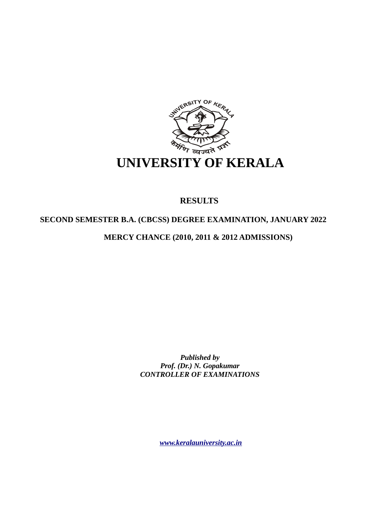

# **RESULTS**

# **SECOND SEMESTER B.A. (CBCSS) DEGREE EXAMINATION, JANUARY 2022**

**MERCY CHANCE (2010, 2011 & 2012 ADMISSIONS)** 

*Published by Prof. (Dr.) N. Gopakumar CONTROLLER OF EXAMINATIONS*

*[www.keralauniversity.ac.in](http://www.keralauniversity.ac.in/)*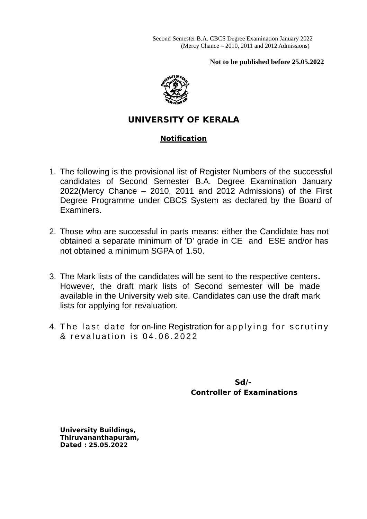**Not to be published before 25.05.2022**



# **UNIVERSITY OF KERALA**

# **Notification**

- 1. The following is the provisional list of Register Numbers of the successful candidates of Second Semester B.A. Degree Examination January 2022(Mercy Chance – 2010, 2011 and 2012 Admissions) of the First Degree Programme under CBCS System as declared by the Board of Examiners.
- 2. Those who are successful in parts means: either the Candidate has not obtained a separate minimum of 'D' grade in CE and ESE and/or has not obtained a minimum SGPA of 1.50.
- 3. The Mark lists of the candidates will be sent to the respective centers**.** However, the draft mark lists of Second semester will be made available in the University web site. Candidates can use the draft mark lists for applying for revaluation.
- 4. The last date for on-line Registration for applying for scrutiny & revaluation is 04.06.2022

 **Sd/- Controller of Examinations**

**University Buildings, Thiruvananthapuram, Dated : 25.05.2022**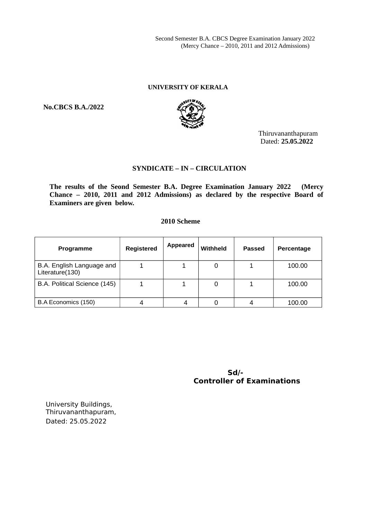Second Semester B.A. CBCS Degree Examination January 2022 (Mercy Chance – 2010, 2011 and 2012 Admissions)

# **UNIVERSITY OF KERALA**

**No.CBCS B.A./2022**



Thiruvananthapuram Dated: **25.05.2022**

## **SYNDICATE – IN – CIRCULATION**

**The results of the Seond Semester B.A. Degree Examination January 2022 (Mercy Chance – 2010, 2011 and 2012 Admissions) as declared by the respective Board of Examiners are given below.**

# **2010 Scheme**

| <b>Programme</b>                             | <b>Registered</b> | <b>Appeared</b> | Withheld | Passed | Percentage |
|----------------------------------------------|-------------------|-----------------|----------|--------|------------|
| B.A. English Language and<br>Literature(130) |                   |                 |          |        | 100.00     |
| B.A. Political Science (145)                 |                   |                 |          |        | 100.00     |
| B.A Economics (150)                          |                   |                 |          |        | 100.00     |

 **Sd/- Controller of Examinations**

University Buildings, Thiruvananthapuram, Dated: 25.05.2022